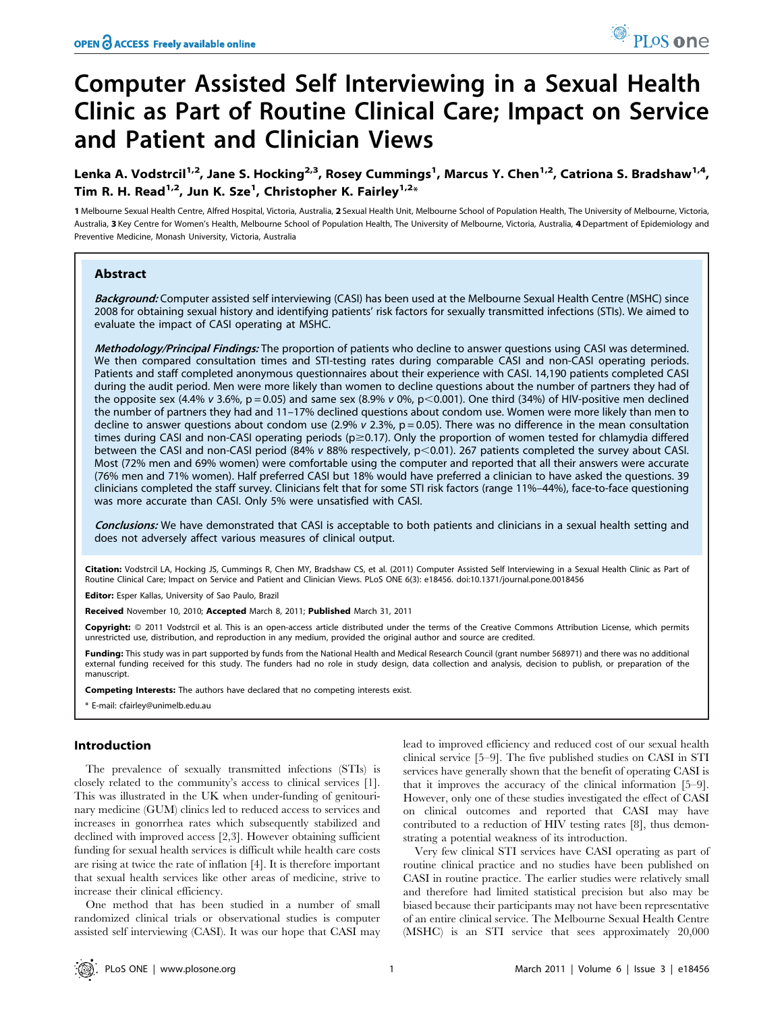# Computer Assisted Self Interviewing in a Sexual Health Clinic as Part of Routine Clinical Care; Impact on Service and Patient and Clinician Views

Lenka A. Vodstrcil<sup>1,2</sup>, Jane S. Hocking<sup>2,3</sup>, Rosey Cummings<sup>1</sup>, Marcus Y. Chen<sup>1,2</sup>, Catriona S. Bradshaw<sup>1,4</sup>, Tim R. H. Read $^{1,2}$ , Jun K. Sze $^1$ , Christopher K. Fairley $^{1,2_\ast}$ 

1 Melbourne Sexual Health Centre, Alfred Hospital, Victoria, Australia, 2 Sexual Health Unit, Melbourne School of Population Health, The University of Melbourne, Victoria, Australia, 3 Key Centre for Women's Health, Melbourne School of Population Health, The University of Melbourne, Victoria, Australia, 4Department of Epidemiology and Preventive Medicine, Monash University, Victoria, Australia

## Abstract

Background: Computer assisted self interviewing (CASI) has been used at the Melbourne Sexual Health Centre (MSHC) since 2008 for obtaining sexual history and identifying patients' risk factors for sexually transmitted infections (STIs). We aimed to evaluate the impact of CASI operating at MSHC.

Methodology/Principal Findings: The proportion of patients who decline to answer questions using CASI was determined. We then compared consultation times and STI-testing rates during comparable CASI and non-CASI operating periods. Patients and staff completed anonymous questionnaires about their experience with CASI. 14,190 patients completed CASI during the audit period. Men were more likely than women to decline questions about the number of partners they had of the opposite sex (4.4% v 3.6%, p = 0.05) and same sex (8.9% v 0%, p < 0.001). One third (34%) of HIV-positive men declined the number of partners they had and 11–17% declined questions about condom use. Women were more likely than men to decline to answer questions about condom use (2.9%  $v$  2.3%,  $p = 0.05$ ). There was no difference in the mean consultation times during CASI and non-CASI operating periods ( $p \ge 0.17$ ). Only the proportion of women tested for chlamydia differed between the CASI and non-CASI period (84% v 88% respectively,  $p<$ 0.01). 267 patients completed the survey about CASI. Most (72% men and 69% women) were comfortable using the computer and reported that all their answers were accurate (76% men and 71% women). Half preferred CASI but 18% would have preferred a clinician to have asked the questions. 39 clinicians completed the staff survey. Clinicians felt that for some STI risk factors (range 11%–44%), face-to-face questioning was more accurate than CASI. Only 5% were unsatisfied with CASI.

Conclusions: We have demonstrated that CASI is acceptable to both patients and clinicians in a sexual health setting and does not adversely affect various measures of clinical output.

Citation: Vodstrcil LA, Hocking JS, Cummings R, Chen MY, Bradshaw CS, et al. (2011) Computer Assisted Self Interviewing in a Sexual Health Clinic as Part of Routine Clinical Care; Impact on Service and Patient and Clinician Views. PLoS ONE 6(3): e18456. doi:10.1371/journal.pone.0018456

Editor: Esper Kallas, University of Sao Paulo, Brazil

Received November 10, 2010; Accepted March 8, 2011; Published March 31, 2011

Copyright: © 2011 Vodstrcil et al. This is an open-access article distributed under the terms of the Creative Commons Attribution License, which permits unrestricted use, distribution, and reproduction in any medium, provided the original author and source are credited.

Funding: This study was in part supported by funds from the National Health and Medical Research Council (grant number 568971) and there was no additional external funding received for this study. The funders had no role in study design, data collection and analysis, decision to publish, or preparation of the manuscript.

Competing Interests: The authors have declared that no competing interests exist.

\* E-mail: cfairley@unimelb.edu.au

## Introduction

The prevalence of sexually transmitted infections (STIs) is closely related to the community's access to clinical services [1]. This was illustrated in the UK when under-funding of genitourinary medicine (GUM) clinics led to reduced access to services and increases in gonorrhea rates which subsequently stabilized and declined with improved access [2,3]. However obtaining sufficient funding for sexual health services is difficult while health care costs are rising at twice the rate of inflation [4]. It is therefore important that sexual health services like other areas of medicine, strive to increase their clinical efficiency.

One method that has been studied in a number of small randomized clinical trials or observational studies is computer assisted self interviewing (CASI). It was our hope that CASI may lead to improved efficiency and reduced cost of our sexual health clinical service [5–9]. The five published studies on CASI in STI services have generally shown that the benefit of operating CASI is that it improves the accuracy of the clinical information [5–9]. However, only one of these studies investigated the effect of CASI on clinical outcomes and reported that CASI may have contributed to a reduction of HIV testing rates [8], thus demonstrating a potential weakness of its introduction.

Very few clinical STI services have CASI operating as part of routine clinical practice and no studies have been published on CASI in routine practice. The earlier studies were relatively small and therefore had limited statistical precision but also may be biased because their participants may not have been representative of an entire clinical service. The Melbourne Sexual Health Centre (MSHC) is an STI service that sees approximately 20,000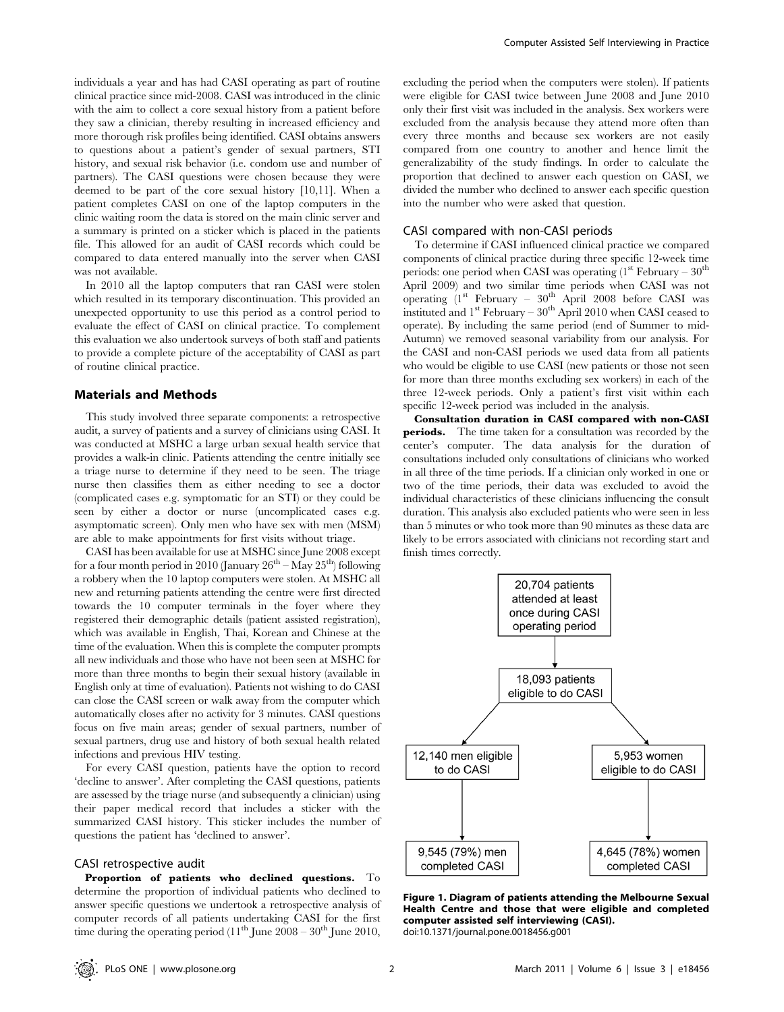individuals a year and has had CASI operating as part of routine clinical practice since mid-2008. CASI was introduced in the clinic with the aim to collect a core sexual history from a patient before they saw a clinician, thereby resulting in increased efficiency and more thorough risk profiles being identified. CASI obtains answers to questions about a patient's gender of sexual partners, STI history, and sexual risk behavior (i.e. condom use and number of partners). The CASI questions were chosen because they were deemed to be part of the core sexual history [10,11]. When a patient completes CASI on one of the laptop computers in the clinic waiting room the data is stored on the main clinic server and a summary is printed on a sticker which is placed in the patients file. This allowed for an audit of CASI records which could be compared to data entered manually into the server when CASI was not available.

In 2010 all the laptop computers that ran CASI were stolen which resulted in its temporary discontinuation. This provided an unexpected opportunity to use this period as a control period to evaluate the effect of CASI on clinical practice. To complement this evaluation we also undertook surveys of both staff and patients to provide a complete picture of the acceptability of CASI as part of routine clinical practice.

## Materials and Methods

This study involved three separate components: a retrospective audit, a survey of patients and a survey of clinicians using CASI. It was conducted at MSHC a large urban sexual health service that provides a walk-in clinic. Patients attending the centre initially see a triage nurse to determine if they need to be seen. The triage nurse then classifies them as either needing to see a doctor (complicated cases e.g. symptomatic for an STI) or they could be seen by either a doctor or nurse (uncomplicated cases e.g. asymptomatic screen). Only men who have sex with men (MSM) are able to make appointments for first visits without triage.

CASI has been available for use at MSHC since June 2008 except for a four month period in 2010 (January  $26^{th}$  – May  $25^{th}$ ) following a robbery when the 10 laptop computers were stolen. At MSHC all new and returning patients attending the centre were first directed towards the 10 computer terminals in the foyer where they registered their demographic details (patient assisted registration), which was available in English, Thai, Korean and Chinese at the time of the evaluation. When this is complete the computer prompts all new individuals and those who have not been seen at MSHC for more than three months to begin their sexual history (available in English only at time of evaluation). Patients not wishing to do CASI can close the CASI screen or walk away from the computer which automatically closes after no activity for 3 minutes. CASI questions focus on five main areas; gender of sexual partners, number of sexual partners, drug use and history of both sexual health related infections and previous HIV testing.

For every CASI question, patients have the option to record 'decline to answer'. After completing the CASI questions, patients are assessed by the triage nurse (and subsequently a clinician) using their paper medical record that includes a sticker with the summarized CASI history. This sticker includes the number of questions the patient has 'declined to answer'.

#### CASI retrospective audit

Proportion of patients who declined questions. To determine the proportion of individual patients who declined to answer specific questions we undertook a retrospective analysis of computer records of all patients undertaking CASI for the first time during the operating period  $(11<sup>th</sup>$  June 2008 – 30<sup>th</sup> June 2010,

excluding the period when the computers were stolen). If patients were eligible for CASI twice between June 2008 and June 2010 only their first visit was included in the analysis. Sex workers were excluded from the analysis because they attend more often than every three months and because sex workers are not easily compared from one country to another and hence limit the generalizability of the study findings. In order to calculate the proportion that declined to answer each question on CASI, we divided the number who declined to answer each specific question into the number who were asked that question.

#### CASI compared with non-CASI periods

To determine if CASI influenced clinical practice we compared components of clinical practice during three specific 12-week time periods: one period when CASI was operating  $(1^{st}$  February –  $30^{th}$ April 2009) and two similar time periods when CASI was not operating  $(1^{st}$  February –  $30^{th}$  April 2008 before CASI was instituted and  $1<sup>st</sup>$  February –  $30<sup>th</sup>$  April 2010 when CASI ceased to operate). By including the same period (end of Summer to mid-Autumn) we removed seasonal variability from our analysis. For the CASI and non-CASI periods we used data from all patients who would be eligible to use CASI (new patients or those not seen for more than three months excluding sex workers) in each of the three 12-week periods. Only a patient's first visit within each specific 12-week period was included in the analysis.

Consultation duration in CASI compared with non-CASI periods. The time taken for a consultation was recorded by the center's computer. The data analysis for the duration of consultations included only consultations of clinicians who worked in all three of the time periods. If a clinician only worked in one or two of the time periods, their data was excluded to avoid the individual characteristics of these clinicians influencing the consult duration. This analysis also excluded patients who were seen in less than 5 minutes or who took more than 90 minutes as these data are likely to be errors associated with clinicians not recording start and finish times correctly.



Figure 1. Diagram of patients attending the Melbourne Sexual Health Centre and those that were eligible and completed computer assisted self interviewing (CASI). doi:10.1371/journal.pone.0018456.g001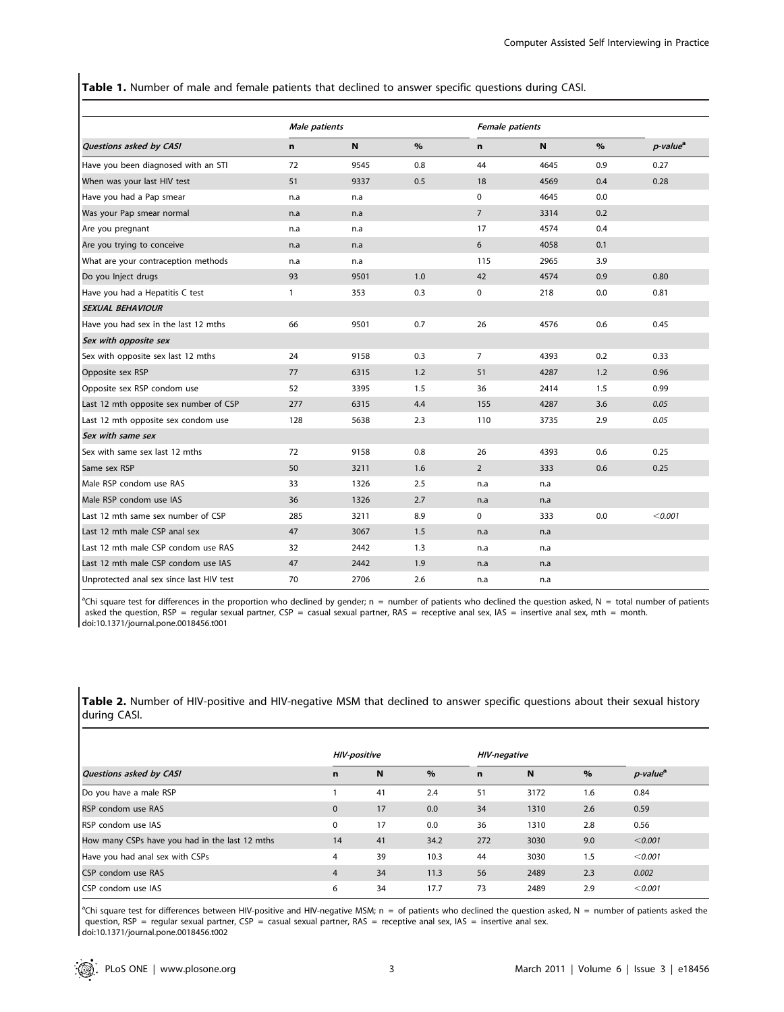Table 1. Number of male and female patients that declined to answer specific questions during CASI.

|                                          | Male patients |      |      | <b>Female patients</b> |      |      |                      |
|------------------------------------------|---------------|------|------|------------------------|------|------|----------------------|
| Questions asked by CASI                  | n             | N    | $\%$ | n                      | N    | $\%$ | p-value <sup>a</sup> |
| Have you been diagnosed with an STI      | 72            | 9545 | 0.8  | 44                     | 4645 | 0.9  | 0.27                 |
| When was your last HIV test              | 51            | 9337 | 0.5  | 18                     | 4569 | 0.4  | 0.28                 |
| Have you had a Pap smear                 | n.a           | n.a  |      | 0                      | 4645 | 0.0  |                      |
| Was your Pap smear normal                | n.a           | n.a  |      | $\overline{7}$         | 3314 | 0.2  |                      |
| Are you pregnant                         | n.a           | n.a  |      | 17                     | 4574 | 0.4  |                      |
| Are you trying to conceive               | n.a           | n.a  |      | 6                      | 4058 | 0.1  |                      |
| What are your contraception methods      | n.a           | n.a  |      | 115                    | 2965 | 3.9  |                      |
| Do you Inject drugs                      | 93            | 9501 | 1.0  | 42                     | 4574 | 0.9  | 0.80                 |
| Have you had a Hepatitis C test          | 1             | 353  | 0.3  | 0                      | 218  | 0.0  | 0.81                 |
| <b>SEXUAL BEHAVIOUR</b>                  |               |      |      |                        |      |      |                      |
| Have you had sex in the last 12 mths     | 66            | 9501 | 0.7  | 26                     | 4576 | 0.6  | 0.45                 |
| Sex with opposite sex                    |               |      |      |                        |      |      |                      |
| Sex with opposite sex last 12 mths       | 24            | 9158 | 0.3  | 7                      | 4393 | 0.2  | 0.33                 |
| Opposite sex RSP                         | 77            | 6315 | 1.2  | 51                     | 4287 | 1.2  | 0.96                 |
| Opposite sex RSP condom use              | 52            | 3395 | 1.5  | 36                     | 2414 | 1.5  | 0.99                 |
| Last 12 mth opposite sex number of CSP   | 277           | 6315 | 4.4  | 155                    | 4287 | 3.6  | 0.05                 |
| Last 12 mth opposite sex condom use      | 128           | 5638 | 2.3  | 110                    | 3735 | 2.9  | 0.05                 |
| Sex with same sex                        |               |      |      |                        |      |      |                      |
| Sex with same sex last 12 mths           | 72            | 9158 | 0.8  | 26                     | 4393 | 0.6  | 0.25                 |
| Same sex RSP                             | 50            | 3211 | 1.6  | $\overline{2}$         | 333  | 0.6  | 0.25                 |
| Male RSP condom use RAS                  | 33            | 1326 | 2.5  | n.a                    | n.a  |      |                      |
| Male RSP condom use IAS                  | 36            | 1326 | 2.7  | n.a                    | n.a  |      |                      |
| Last 12 mth same sex number of CSP       | 285           | 3211 | 8.9  | 0                      | 333  | 0.0  | < 0.001              |
| Last 12 mth male CSP anal sex            | 47            | 3067 | 1.5  | n.a                    | n.a  |      |                      |
| Last 12 mth male CSP condom use RAS      | 32            | 2442 | 1.3  | n.a                    | n.a  |      |                      |
| Last 12 mth male CSP condom use IAS      | 47            | 2442 | 1.9  | n.a                    | n.a  |      |                      |
| Unprotected anal sex since last HIV test | 70            | 2706 | 2.6  | n.a                    | n.a  |      |                      |

<sup>a</sup>Chi square test for differences in the proportion who declined by gender; n = number of patients who declined the question asked, N = total number of patients asked the question, RSP = regular sexual partner, CSP = casual sexual partner, RAS = receptive anal sex, IAS = insertive anal sex, mth = month. doi:10.1371/journal.pone.0018456.t001

Table 2. Number of HIV-positive and HIV-negative MSM that declined to answer specific questions about their sexual history during CASI.

|                                                | <b>HIV-positive</b> |    |      | <b>HIV-negative</b> |      |      |                      |
|------------------------------------------------|---------------------|----|------|---------------------|------|------|----------------------|
| Questions asked by CASI                        | $\mathbf n$         | N  | $\%$ | $\mathbf n$         | N    | $\%$ | p-value <sup>a</sup> |
| Do you have a male RSP                         |                     | 41 | 2.4  | 51                  | 3172 | 1.6  | 0.84                 |
| RSP condom use RAS                             | $\mathbf 0$         | 17 | 0.0  | 34                  | 1310 | 2.6  | 0.59                 |
| RSP condom use IAS                             | 0                   | 17 | 0.0  | 36                  | 1310 | 2.8  | 0.56                 |
| How many CSPs have you had in the last 12 mths | 14                  | 41 | 34.2 | 272                 | 3030 | 9.0  | < 0.001              |
| Have you had anal sex with CSPs                | 4                   | 39 | 10.3 | 44                  | 3030 | 1.5  | < 0.001              |
| CSP condom use RAS                             | $\overline{4}$      | 34 | 11.3 | 56                  | 2489 | 2.3  | 0.002                |
| CSP condom use IAS                             | 6                   | 34 | 17.7 | 73                  | 2489 | 2.9  | < 0.001              |
|                                                |                     |    |      |                     |      |      |                      |

<sup>a</sup>Chi square test for differences between HIV-positive and HIV-negative MSM; n = of patients who declined the question asked, N = number of patients asked the question,  $RSP$  = regular sexual partner,  $CSP$  = casual sexual partner,  $RAS$  = receptive anal sex,  $IAS$  = insertive anal sex. doi:10.1371/journal.pone.0018456.t002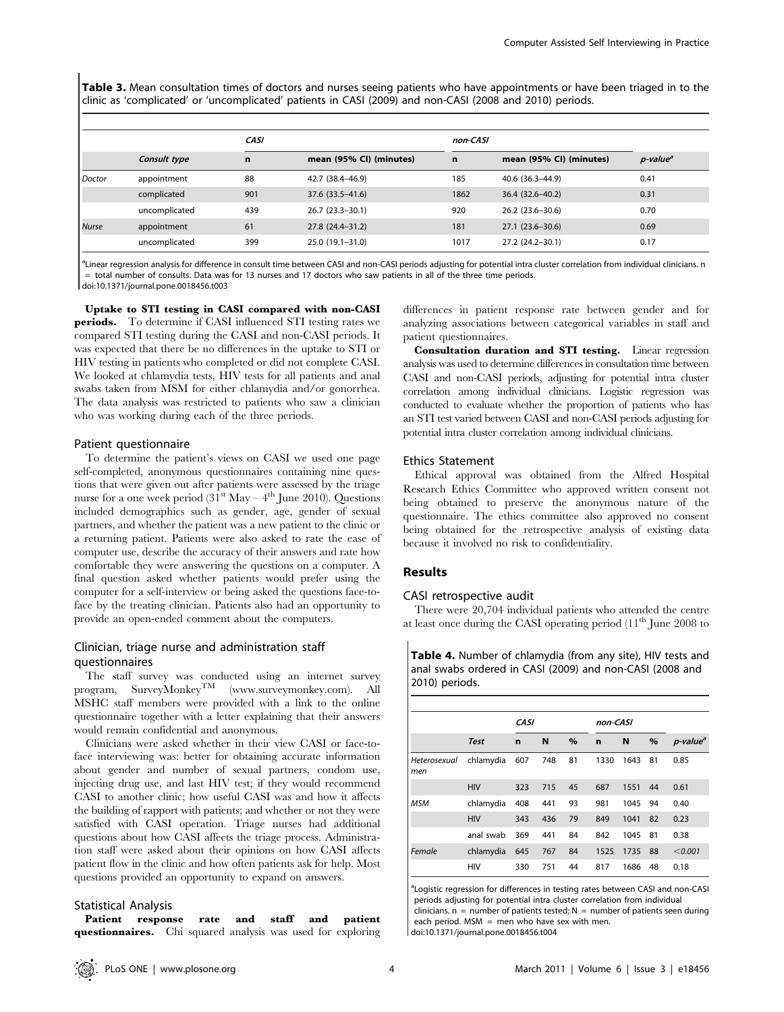Table 3. Mean consultation times of doctors and nurses seeing patients who have appointments or have been triaged in to the clinic as 'complicated' or 'uncomplicated' patients in CASI (2009) and non-CASI (2008 and 2010) periods.

|              |               | <b>CASI</b> |                         |             | non-CASI                |                      |  |  |
|--------------|---------------|-------------|-------------------------|-------------|-------------------------|----------------------|--|--|
|              | Consult type  | n           | mean (95% CI) (minutes) | $\mathbf n$ | mean (95% CI) (minutes) | p-value <sup>a</sup> |  |  |
| Doctor       | appointment   | 88          | 42.7 (38.4–46.9)        | 185         | 40.6 (36.3–44.9)        | 0.41                 |  |  |
|              | complicated   | 901         | 37.6 (33.5–41.6)        | 1862        | 36.4 (32.6–40.2)        | 0.31                 |  |  |
|              | uncomplicated | 439         | 26.7 (23.3-30.1)        | 920         | $26.2(23.6-30.6)$       | 0.70                 |  |  |
| <b>Nurse</b> | appointment   | 61          | 27.8 (24.4–31.2)        | 181         | $27.1(23.6 - 30.6)$     | 0.69                 |  |  |
|              | uncomplicated | 399         | 25.0 (19.1-31.0)        | 1017        | 27.2 (24.2-30.1)        | 0.17                 |  |  |

<sup>a</sup>Linear regression analysis for difference in consult time between CASI and non-CASI periods adjusting for potential intra cluster correlation from individual clinicians. n = total number of consults. Data was for 13 nurses and 17 doctors who saw patients in all of the three time periods. doi:10.1371/journal.pone.0018456.t003

Uptake to STI testing in CASI compared with non-CASI periods. To determine if CASI influenced STI testing rates we compared STI testing during the CASI and non-CASI periods. It was expected that there be no differences in the uptake to STI or HIV testing in patients who completed or did not complete CASI. We looked at chlamydia tests, HIV tests for all patients and anal swabs taken from MSM for either chlamydia and/or gonorrhea. The data analysis was restricted to patients who saw a clinician who was working during each of the three periods.

## Patient questionnaire

To determine the patient's views on CASI we used one page self-completed, anonymous questionnaires containing nine questions that were given out after patients were assessed by the triage nurse for a one week period  $(31<sup>st</sup>$  May – 4<sup>th</sup> June 2010). Questions included demographics such as gender, age, gender of sexual partners, and whether the patient was a new patient to the clinic or a returning patient. Patients were also asked to rate the ease of computer use, describe the accuracy of their answers and rate how comfortable they were answering the questions on a computer. A final question asked whether patients would prefer using the computer for a self-interview or being asked the questions face-toface by the treating clinician. Patients also had an opportunity to provide an open-ended comment about the computers.

# Clinician, triage nurse and administration staff questionnaires

The staff survey was conducted using an internet survey program, SurveyMonkeyTM (www.surveymonkey.com). All MSHC staff members were provided with a link to the online questionnaire together with a letter explaining that their answers would remain confidential and anonymous.

Clinicians were asked whether in their view CASI or face-toface interviewing was: better for obtaining accurate information about gender and number of sexual partners, condom use, injecting drug use, and last HIV test; if they would recommend CASI to another clinic; how useful CASI was and how it affects the building of rapport with patients; and whether or not they were satisfied with CASI operation. Triage nurses had additional questions about how CASI affects the triage process. Administration staff were asked about their opinions on how CASI affects patient flow in the clinic and how often patients ask for help. Most questions provided an opportunity to expand on answers.

## Statistical Analysis

Patient response rate and staff and patient questionnaires. Chi squared analysis was used for exploring differences in patient response rate between gender and for analyzing associations between categorical variables in staff and patient questionnaires.

Consultation duration and STI testing. Linear regression analysis was used to determine differences in consultation time between CASI and non-CASI periods, adjusting for potential intra cluster correlation among individual clinicians. Logistic regression was conducted to evaluate whether the proportion of patients who has an STI test varied between CASI and non-CASI periods adjusting for potential intra cluster correlation among individual clinicians.

## Ethics Statement

Ethical approval was obtained from the Alfred Hospital Research Ethics Committee who approved written consent not being obtained to preserve the anonymous nature of the questionnaire. The ethics committee also approved no consent being obtained for the retrospective analysis of existing data because it involved no risk to confidentiality.

## Results

#### CASI retrospective audit

There were 20,704 individual patients who attended the centre at least once during the CASI operating period  $(11<sup>th</sup>$  June 2008 to

Table 4. Number of chlamydia (from any site), HIV tests and anal swabs ordered in CASI (2009) and non-CASI (2008 and 2010) periods.

|                     |             | <b>CASI</b> |     |      | non-CASI |      |      |                      |
|---------------------|-------------|-------------|-----|------|----------|------|------|----------------------|
|                     | <b>Test</b> | n           | N   | $\%$ | n        | N    | $\%$ | p-value <sup>a</sup> |
| Heterosexual<br>men | chlamydia   | 607         | 748 | 81   | 1330     | 1643 | 81   | 0.85                 |
|                     | <b>HIV</b>  | 323         | 715 | 45   | 687      | 1551 | 44   | 0.61                 |
| <b>MSM</b>          | chlamydia   | 408         | 441 | 93   | 981      | 1045 | 94   | 0.40                 |
|                     | <b>HIV</b>  | 343         | 436 | 79   | 849      | 1041 | 82   | 0.23                 |
|                     | anal swab   | 369         | 441 | 84   | 842      | 1045 | 81   | 0.38                 |
| Female              | chlamydia   | 645         | 767 | 84   | 1525     | 1735 | 88   | < 0.001              |
|                     | <b>HIV</b>  | 330         | 751 | 44   | 817      | 1686 | 48   | 0.18                 |

<sup>a</sup>Logistic regression for differences in testing rates between CASI and non-CASI periods adjusting for potential intra cluster correlation from individual clinicians.  $n =$  number of patients tested;  $N =$  number of patients seen during each period. MSM = men who have sex with men. doi:10.1371/journal.pone.0018456.t004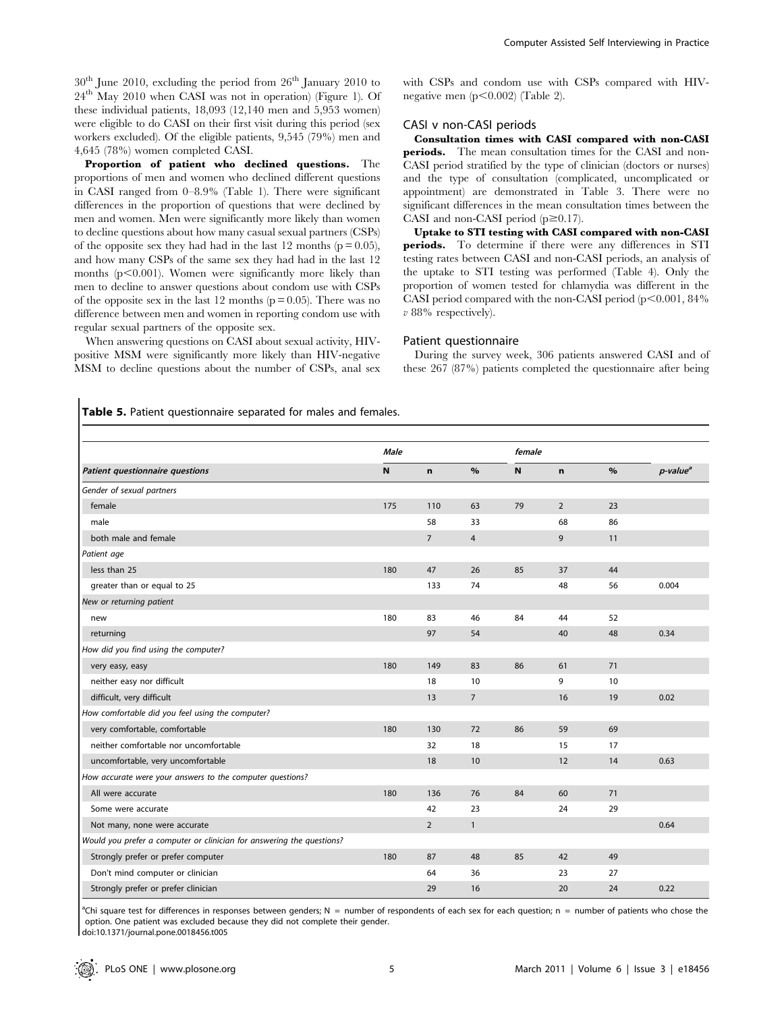$30<sup>th</sup>$  June 2010, excluding the period from  $26<sup>th</sup>$  January 2010 to 24th May 2010 when CASI was not in operation) (Figure 1). Of these individual patients, 18,093 (12,140 men and 5,953 women) were eligible to do CASI on their first visit during this period (sex workers excluded). Of the eligible patients, 9,545 (79%) men and 4,645 (78%) women completed CASI.

Proportion of patient who declined questions. The proportions of men and women who declined different questions in CASI ranged from 0–8.9% (Table 1). There were significant differences in the proportion of questions that were declined by men and women. Men were significantly more likely than women to decline questions about how many casual sexual partners (CSPs) of the opposite sex they had had in the last 12 months ( $p = 0.05$ ), and how many CSPs of the same sex they had had in the last 12 months  $(p<0.001)$ . Women were significantly more likely than men to decline to answer questions about condom use with CSPs of the opposite sex in the last 12 months ( $p = 0.05$ ). There was no difference between men and women in reporting condom use with regular sexual partners of the opposite sex.

When answering questions on CASI about sexual activity, HIVpositive MSM were significantly more likely than HIV-negative MSM to decline questions about the number of CSPs, anal sex with CSPs and condom use with CSPs compared with HIVnegative men  $(p<0.002)$  (Table 2).

## CASI v non-CASI periods

Consultation times with CASI compared with non-CASI periods. The mean consultation times for the CASI and non-CASI period stratified by the type of clinician (doctors or nurses) and the type of consultation (complicated, uncomplicated or appointment) are demonstrated in Table 3. There were no significant differences in the mean consultation times between the CASI and non-CASI period  $(p \ge 0.17)$ .

Uptake to STI testing with CASI compared with non-CASI periods. To determine if there were any differences in STI testing rates between CASI and non-CASI periods, an analysis of the uptake to STI testing was performed (Table 4). Only the proportion of women tested for chlamydia was different in the CASI period compared with the non-CASI period  $(p<0.001, 84\%$ v 88% respectively).

## Patient questionnaire

During the survey week, 306 patients answered CASI and of these 267 (87%) patients completed the questionnaire after being

Table 5. Patient questionnaire separated for males and females.

|                                                                       | <b>Male</b> |                |                |           | female         |      |                      |
|-----------------------------------------------------------------------|-------------|----------------|----------------|-----------|----------------|------|----------------------|
| Patient questionnaire questions                                       | $\mathbf N$ | $\mathbf n$    | $\%$           | ${\bf N}$ | n              | $\%$ | p-value <sup>a</sup> |
| Gender of sexual partners                                             |             |                |                |           |                |      |                      |
| female                                                                | 175         | 110            | 63             | 79        | $\overline{2}$ | 23   |                      |
| male                                                                  |             | 58             | 33             |           | 68             | 86   |                      |
| both male and female                                                  |             | $\overline{7}$ | $\overline{4}$ |           | 9              | 11   |                      |
| Patient age                                                           |             |                |                |           |                |      |                      |
| less than 25                                                          | 180         | 47             | 26             | 85        | 37             | 44   |                      |
| greater than or equal to 25                                           |             | 133            | 74             |           | 48             | 56   | 0.004                |
| New or returning patient                                              |             |                |                |           |                |      |                      |
| new                                                                   | 180         | 83             | 46             | 84        | 44             | 52   |                      |
| returning                                                             |             | 97             | 54             |           | 40             | 48   | 0.34                 |
| How did you find using the computer?                                  |             |                |                |           |                |      |                      |
| very easy, easy                                                       | 180         | 149            | 83             | 86        | 61             | 71   |                      |
| neither easy nor difficult                                            |             | 18             | 10             |           | 9              | 10   |                      |
| difficult, very difficult                                             |             | 13             | $\overline{7}$ |           | 16             | 19   | 0.02                 |
| How comfortable did you feel using the computer?                      |             |                |                |           |                |      |                      |
| very comfortable, comfortable                                         | 180         | 130            | 72             | 86        | 59             | 69   |                      |
| neither comfortable nor uncomfortable                                 |             | 32             | 18             |           | 15             | 17   |                      |
| uncomfortable, very uncomfortable                                     |             | 18             | 10             |           | 12             | 14   | 0.63                 |
| How accurate were your answers to the computer questions?             |             |                |                |           |                |      |                      |
| All were accurate                                                     | 180         | 136            | 76             | 84        | 60             | 71   |                      |
| Some were accurate                                                    |             | 42             | 23             |           | 24             | 29   |                      |
| Not many, none were accurate                                          |             | $\overline{2}$ | $\mathbf{1}$   |           |                |      | 0.64                 |
| Would you prefer a computer or clinician for answering the questions? |             |                |                |           |                |      |                      |
| Strongly prefer or prefer computer                                    | 180         | 87             | 48             | 85        | 42             | 49   |                      |
| Don't mind computer or clinician                                      |             | 64             | 36             |           | 23             | 27   |                      |
| Strongly prefer or prefer clinician                                   |             | 29             | 16             |           | 20             | 24   | 0.22                 |

<sup>a</sup>Chi square test for differences in responses between genders; N = number of respondents of each sex for each question; n = number of patients who chose the option. One patient was excluded because they did not complete their gender. doi:10.1371/journal.pone.0018456.t005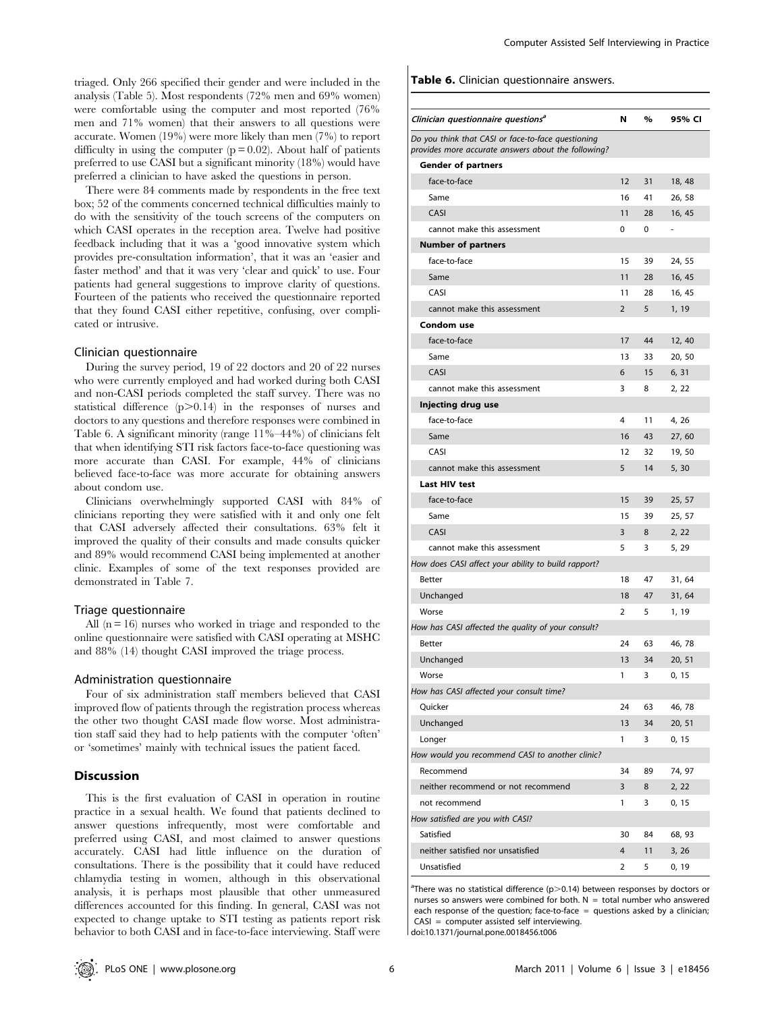triaged. Only 266 specified their gender and were included in the analysis (Table 5). Most respondents (72% men and 69% women) were comfortable using the computer and most reported (76% men and 71% women) that their answers to all questions were accurate. Women (19%) were more likely than men (7%) to report difficulty in using the computer  $(p = 0.02)$ . About half of patients preferred to use CASI but a significant minority (18%) would have preferred a clinician to have asked the questions in person.

There were 84 comments made by respondents in the free text box; 52 of the comments concerned technical difficulties mainly to do with the sensitivity of the touch screens of the computers on which CASI operates in the reception area. Twelve had positive feedback including that it was a 'good innovative system which provides pre-consultation information', that it was an 'easier and faster method' and that it was very 'clear and quick' to use. Four patients had general suggestions to improve clarity of questions. Fourteen of the patients who received the questionnaire reported that they found CASI either repetitive, confusing, over complicated or intrusive.

#### Clinician questionnaire

During the survey period, 19 of 22 doctors and 20 of 22 nurses who were currently employed and had worked during both CASI and non-CASI periods completed the staff survey. There was no statistical difference  $(p>0.14)$  in the responses of nurses and doctors to any questions and therefore responses were combined in Table 6. A significant minority (range 11%–44%) of clinicians felt that when identifying STI risk factors face-to-face questioning was more accurate than CASI. For example, 44% of clinicians believed face-to-face was more accurate for obtaining answers about condom use.

Clinicians overwhelmingly supported CASI with 84% of clinicians reporting they were satisfied with it and only one felt that CASI adversely affected their consultations. 63% felt it improved the quality of their consults and made consults quicker and 89% would recommend CASI being implemented at another clinic. Examples of some of the text responses provided are demonstrated in Table 7.

## Triage questionnaire

All  $(n = 16)$  nurses who worked in triage and responded to the online questionnaire were satisfied with CASI operating at MSHC and 88% (14) thought CASI improved the triage process.

#### Administration questionnaire

Four of six administration staff members believed that CASI improved flow of patients through the registration process whereas the other two thought CASI made flow worse. Most administration staff said they had to help patients with the computer 'often' or 'sometimes' mainly with technical issues the patient faced.

## Discussion

This is the first evaluation of CASI in operation in routine practice in a sexual health. We found that patients declined to answer questions infrequently, most were comfortable and preferred using CASI, and most claimed to answer questions accurately. CASI had little influence on the duration of consultations. There is the possibility that it could have reduced chlamydia testing in women, although in this observational analysis, it is perhaps most plausible that other unmeasured differences accounted for this finding. In general, CASI was not expected to change uptake to STI testing as patients report risk behavior to both CASI and in face-to-face interviewing. Staff were

Table 6. Clinician questionnaire answers.

| Clinician questionnaire questions <sup>a</sup>                                                            | N              | $\%$     | 95% CI |
|-----------------------------------------------------------------------------------------------------------|----------------|----------|--------|
| Do you think that CASI or face-to-face questioning<br>provides more accurate answers about the following? |                |          |        |
| <b>Gender of partners</b>                                                                                 |                |          |        |
| face-to-face                                                                                              | 12             | 31       | 18, 48 |
| Same                                                                                                      | 16             | 41       | 26, 58 |
| CASI                                                                                                      | 11             | 28       | 16, 45 |
| cannot make this assessment                                                                               | 0              | $\Omega$ | ä,     |
| <b>Number of partners</b>                                                                                 |                |          |        |
| face-to-face                                                                                              | 15             | 39       | 24, 55 |
| Same                                                                                                      | 11             | 28       | 16, 45 |
| CASI                                                                                                      | 11             | 28       | 16, 45 |
| cannot make this assessment                                                                               | $\overline{2}$ | 5        | 1, 19  |
| Condom use                                                                                                |                |          |        |
| face-to-face                                                                                              | 17             | 44       | 12, 40 |
| Same                                                                                                      | 13             | 33       | 20, 50 |
| CASI                                                                                                      | 6              | 15       | 6, 31  |
| cannot make this assessment                                                                               | 3              | 8        | 2, 22  |
| Injecting drug use                                                                                        |                |          |        |
| face-to-face                                                                                              | 4              | 11       | 4, 26  |
| Same                                                                                                      | 16             | 43       | 27,60  |
| CASI                                                                                                      | 12             | 32       | 19, 50 |
| cannot make this assessment                                                                               | 5              | 14       | 5,30   |
| <b>Last HIV test</b>                                                                                      |                |          |        |
| face-to-face                                                                                              | 15             | 39       | 25, 57 |
| Same                                                                                                      | 15             | 39       | 25, 57 |
| CASI                                                                                                      | 3              | 8        | 2, 22  |
| cannot make this assessment                                                                               | 5              | 3        | 5, 29  |
| How does CASI affect your ability to build rapport?                                                       |                |          |        |
| <b>Better</b>                                                                                             | 18             | 47       | 31, 64 |
| Unchanged                                                                                                 | 18             | 47       | 31, 64 |
| Worse                                                                                                     | 2              | 5        | 1, 19  |
| How has CASI affected the quality of your consult?                                                        |                |          |        |
| Better                                                                                                    | 24             | 63       | 46, 78 |
| Unchanged                                                                                                 | 13             | 34       | 20, 51 |
| Worse                                                                                                     | 1              | 3        | 0, 15  |
| How has CASI affected your consult time?                                                                  |                |          |        |
| Quicker                                                                                                   | 24             | 63       | 46, 78 |
| Unchanged                                                                                                 | 13             | 34       | 20, 51 |
| Longer                                                                                                    | 1              | 3        | 0, 15  |
| How would you recommend CASI to another clinic?                                                           |                |          |        |
| Recommend                                                                                                 | 34             | 89       | 74, 97 |
| neither recommend or not recommend                                                                        | 3              | 8        | 2, 22  |
| not recommend                                                                                             | 1              | 3        | 0, 15  |
| How satisfied are you with CASI?                                                                          |                |          |        |
| Satisfied                                                                                                 | 30             | 84       | 68, 93 |
| neither satisfied nor unsatisfied                                                                         | 4              | 11       | 3, 26  |
| Unsatisfied                                                                                               | 2              | 5        | 0, 19  |
|                                                                                                           |                |          |        |

<sup>a</sup>There was no statistical difference (p>0.14) between responses by doctors or nurses so answers were combined for both.  $N =$  total number who answered each response of the question; face-to-face = questions asked by a clinician; CASI = computer assisted self interviewing.

doi:10.1371/journal.pone.0018456.t006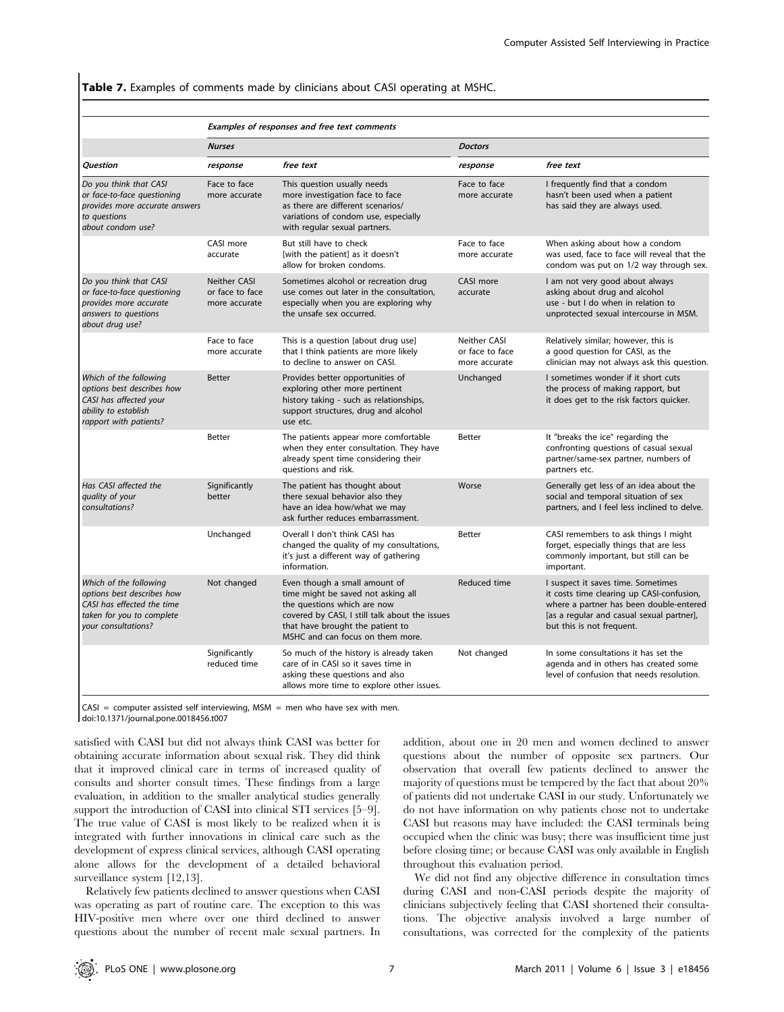## Table 7. Examples of comments made by clinicians about CASI operating at MSHC.

#### Examples of responses and free text comments

|                                                                                                                                        | <b>Nurses</b>                                                                                                                                                                                                 |                                                                                                                                                                                                                              | <b>Doctors</b>                                   |                                                                                                                                                                                                      |  |  |  |
|----------------------------------------------------------------------------------------------------------------------------------------|---------------------------------------------------------------------------------------------------------------------------------------------------------------------------------------------------------------|------------------------------------------------------------------------------------------------------------------------------------------------------------------------------------------------------------------------------|--------------------------------------------------|------------------------------------------------------------------------------------------------------------------------------------------------------------------------------------------------------|--|--|--|
| Question                                                                                                                               | response                                                                                                                                                                                                      | free text                                                                                                                                                                                                                    | response                                         | free text                                                                                                                                                                                            |  |  |  |
| Do you think that CASI<br>or face-to-face questioning<br>provides more accurate answers<br>to questions<br>about condom use?           | Face to face<br>This question usually needs<br>more investigation face to face<br>more accurate<br>as there are different scenarios/<br>variations of condom use, especially<br>with regular sexual partners. |                                                                                                                                                                                                                              | Face to face<br>more accurate                    | I frequently find that a condom<br>hasn't been used when a patient<br>has said they are always used.                                                                                                 |  |  |  |
|                                                                                                                                        | CASI more<br>accurate                                                                                                                                                                                         | But still have to check<br>[with the patient] as it doesn't<br>allow for broken condoms.                                                                                                                                     | Face to face<br>more accurate                    | When asking about how a condom<br>was used, face to face will reveal that the<br>condom was put on 1/2 way through sex.                                                                              |  |  |  |
| Do you think that CASI<br>or face-to-face questioning<br>provides more accurate<br>answers to questions<br>about drug use?             | <b>Neither CASI</b><br>or face to face<br>more accurate                                                                                                                                                       | Sometimes alcohol or recreation drug<br>use comes out later in the consultation,<br>especially when you are exploring why<br>the unsafe sex occurred.                                                                        | CASI more<br>accurate                            | I am not very good about always<br>asking about drug and alcohol<br>use - but I do when in relation to<br>unprotected sexual intercourse in MSM.                                                     |  |  |  |
|                                                                                                                                        | Face to face<br>more accurate                                                                                                                                                                                 | This is a question [about drug use]<br>that I think patients are more likely<br>to decline to answer on CASI.                                                                                                                | Neither CASI<br>or face to face<br>more accurate | Relatively similar; however, this is<br>a good question for CASI, as the<br>clinician may not always ask this question.                                                                              |  |  |  |
| Which of the following<br>options best describes how<br>CASI has affected your<br>ability to establish<br>rapport with patients?       | <b>Better</b>                                                                                                                                                                                                 | Provides better opportunities of<br>exploring other more pertinent<br>history taking - such as relationships,<br>support structures, drug and alcohol<br>use etc.                                                            | Unchanged                                        | I sometimes wonder if it short cuts<br>the process of making rapport, but<br>it does get to the risk factors quicker.                                                                                |  |  |  |
|                                                                                                                                        | <b>Better</b>                                                                                                                                                                                                 | The patients appear more comfortable<br>when they enter consultation. They have<br>already spent time considering their<br>questions and risk.                                                                               | Better                                           | It "breaks the ice" regarding the<br>confronting questions of casual sexual<br>partner/same-sex partner, numbers of<br>partners etc.                                                                 |  |  |  |
| Has CASI affected the<br>quality of your<br>consultations?                                                                             | Significantly<br>better                                                                                                                                                                                       | The patient has thought about<br>there sexual behavior also they<br>have an idea how/what we may<br>ask further reduces embarrassment.                                                                                       | Worse                                            | Generally get less of an idea about the<br>social and temporal situation of sex<br>partners, and I feel less inclined to delve.                                                                      |  |  |  |
|                                                                                                                                        | Unchanged                                                                                                                                                                                                     | Overall I don't think CASI has<br>changed the quality of my consultations,<br>it's just a different way of gathering<br>information.                                                                                         | <b>Better</b>                                    | CASI remembers to ask things I might<br>forget, especially things that are less<br>commonly important, but still can be<br>important.                                                                |  |  |  |
| Which of the following<br>options best describes how<br>CASI has effected the time<br>taken for you to complete<br>your consultations? | Not changed                                                                                                                                                                                                   | Even though a small amount of<br>time might be saved not asking all<br>the questions which are now<br>covered by CASI, I still talk about the issues<br>that have brought the patient to<br>MSHC and can focus on them more. | Reduced time                                     | I suspect it saves time. Sometimes<br>it costs time clearing up CASI-confusion,<br>where a partner has been double-entered<br>[as a regular and casual sexual partner],<br>but this is not frequent. |  |  |  |
|                                                                                                                                        | Significantly<br>reduced time                                                                                                                                                                                 | So much of the history is already taken<br>care of in CASI so it saves time in<br>asking these questions and also<br>allows more time to explore other issues.                                                               | Not changed                                      | In some consultations it has set the<br>agenda and in others has created some<br>level of confusion that needs resolution.                                                                           |  |  |  |

 $CASI = computer$  assisted self interviewing, MSM = men who have sex with men. doi:10.1371/journal.pone.0018456.t007

satisfied with CASI but did not always think CASI was better for obtaining accurate information about sexual risk. They did think that it improved clinical care in terms of increased quality of consults and shorter consult times. These findings from a large evaluation, in addition to the smaller analytical studies generally support the introduction of CASI into clinical STI services [5–9]. The true value of CASI is most likely to be realized when it is integrated with further innovations in clinical care such as the development of express clinical services, although CASI operating alone allows for the development of a detailed behavioral surveillance system [12,13].

Relatively few patients declined to answer questions when CASI was operating as part of routine care. The exception to this was HIV-positive men where over one third declined to answer questions about the number of recent male sexual partners. In addition, about one in 20 men and women declined to answer questions about the number of opposite sex partners. Our observation that overall few patients declined to answer the majority of questions must be tempered by the fact that about 20% of patients did not undertake CASI in our study. Unfortunately we do not have information on why patients chose not to undertake CASI but reasons may have included: the CASI terminals being occupied when the clinic was busy; there was insufficient time just before closing time; or because CASI was only available in English throughout this evaluation period.

We did not find any objective difference in consultation times during CASI and non-CASI periods despite the majority of clinicians subjectively feeling that CASI shortened their consultations. The objective analysis involved a large number of consultations, was corrected for the complexity of the patients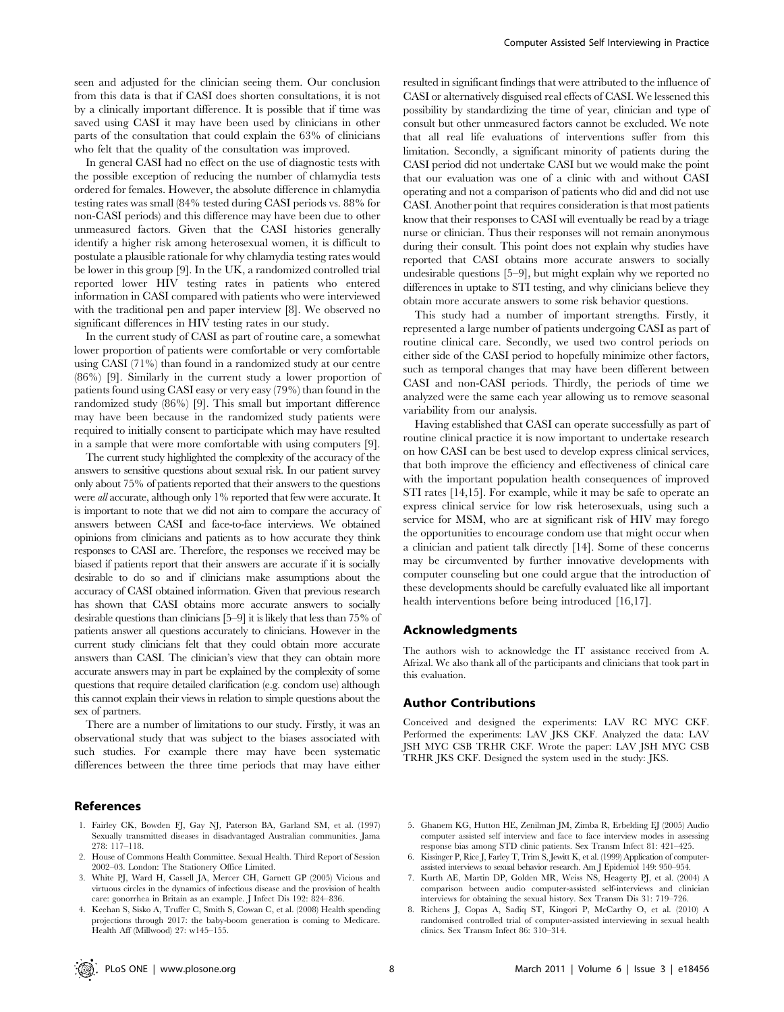seen and adjusted for the clinician seeing them. Our conclusion from this data is that if CASI does shorten consultations, it is not by a clinically important difference. It is possible that if time was saved using CASI it may have been used by clinicians in other parts of the consultation that could explain the 63% of clinicians who felt that the quality of the consultation was improved.

In general CASI had no effect on the use of diagnostic tests with the possible exception of reducing the number of chlamydia tests ordered for females. However, the absolute difference in chlamydia testing rates was small (84% tested during CASI periods vs. 88% for non-CASI periods) and this difference may have been due to other unmeasured factors. Given that the CASI histories generally identify a higher risk among heterosexual women, it is difficult to postulate a plausible rationale for why chlamydia testing rates would be lower in this group [9]. In the UK, a randomized controlled trial reported lower HIV testing rates in patients who entered information in CASI compared with patients who were interviewed with the traditional pen and paper interview [8]. We observed no significant differences in HIV testing rates in our study.

In the current study of CASI as part of routine care, a somewhat lower proportion of patients were comfortable or very comfortable using CASI (71%) than found in a randomized study at our centre (86%) [9]. Similarly in the current study a lower proportion of patients found using CASI easy or very easy (79%) than found in the randomized study (86%) [9]. This small but important difference may have been because in the randomized study patients were required to initially consent to participate which may have resulted in a sample that were more comfortable with using computers [9].

The current study highlighted the complexity of the accuracy of the answers to sensitive questions about sexual risk. In our patient survey only about 75% of patients reported that their answers to the questions were all accurate, although only 1% reported that few were accurate. It is important to note that we did not aim to compare the accuracy of answers between CASI and face-to-face interviews. We obtained opinions from clinicians and patients as to how accurate they think responses to CASI are. Therefore, the responses we received may be biased if patients report that their answers are accurate if it is socially desirable to do so and if clinicians make assumptions about the accuracy of CASI obtained information. Given that previous research has shown that CASI obtains more accurate answers to socially desirable questions than clinicians [5–9] it is likely that less than 75% of patients answer all questions accurately to clinicians. However in the current study clinicians felt that they could obtain more accurate answers than CASI. The clinician's view that they can obtain more accurate answers may in part be explained by the complexity of some questions that require detailed clarification (e.g. condom use) although this cannot explain their views in relation to simple questions about the sex of partners.

There are a number of limitations to our study. Firstly, it was an observational study that was subject to the biases associated with such studies. For example there may have been systematic differences between the three time periods that may have either

#### References

- 1. Fairley CK, Bowden FJ, Gay NJ, Paterson BA, Garland SM, et al. (1997) Sexually transmitted diseases in disadvantaged Australian communities. Jama 278: 117–118.
- 2. House of Commons Health Committee. Sexual Health. Third Report of Session 2002–03. London: The Stationery Office Limited.
- 3. White PJ, Ward H, Cassell JA, Mercer CH, Garnett GP (2005) Vicious and virtuous circles in the dynamics of infectious disease and the provision of health care: gonorrhea in Britain as an example. J Infect Dis 192: 824–836.
- 4. Keehan S, Sisko A, Truffer C, Smith S, Cowan C, et al. (2008) Health spending projections through 2017: the baby-boom generation is coming to Medicare. Health Aff (Millwood) 27: w145–155.

resulted in significant findings that were attributed to the influence of CASI or alternatively disguised real effects of CASI. We lessened this possibility by standardizing the time of year, clinician and type of consult but other unmeasured factors cannot be excluded. We note that all real life evaluations of interventions suffer from this limitation. Secondly, a significant minority of patients during the CASI period did not undertake CASI but we would make the point that our evaluation was one of a clinic with and without CASI operating and not a comparison of patients who did and did not use CASI. Another point that requires consideration is that most patients know that their responses to CASI will eventually be read by a triage nurse or clinician. Thus their responses will not remain anonymous during their consult. This point does not explain why studies have reported that CASI obtains more accurate answers to socially undesirable questions [5–9], but might explain why we reported no differences in uptake to STI testing, and why clinicians believe they obtain more accurate answers to some risk behavior questions.

This study had a number of important strengths. Firstly, it represented a large number of patients undergoing CASI as part of routine clinical care. Secondly, we used two control periods on either side of the CASI period to hopefully minimize other factors, such as temporal changes that may have been different between CASI and non-CASI periods. Thirdly, the periods of time we analyzed were the same each year allowing us to remove seasonal variability from our analysis.

Having established that CASI can operate successfully as part of routine clinical practice it is now important to undertake research on how CASI can be best used to develop express clinical services, that both improve the efficiency and effectiveness of clinical care with the important population health consequences of improved STI rates [14,15]. For example, while it may be safe to operate an express clinical service for low risk heterosexuals, using such a service for MSM, who are at significant risk of HIV may forego the opportunities to encourage condom use that might occur when a clinician and patient talk directly [14]. Some of these concerns may be circumvented by further innovative developments with computer counseling but one could argue that the introduction of these developments should be carefully evaluated like all important health interventions before being introduced [16,17].

#### Acknowledgments

The authors wish to acknowledge the IT assistance received from A. Afrizal. We also thank all of the participants and clinicians that took part in this evaluation.

#### Author Contributions

Conceived and designed the experiments: LAV RC MYC CKF. Performed the experiments: LAV JKS CKF. Analyzed the data: LAV JSH MYC CSB TRHR CKF. Wrote the paper: LAV JSH MYC CSB TRHR JKS CKF. Designed the system used in the study: JKS.

- 5. Ghanem KG, Hutton HE, Zenilman JM, Zimba R, Erbelding EJ (2005) Audio computer assisted self interview and face to face interview modes in assessing response bias among STD clinic patients. Sex Transm Infect 81: 421–425.
- 6. Kissinger P, Rice J, Farley T, Trim S, Jewitt K, et al. (1999) Application of computerassisted interviews to sexual behavior research. Am J Epidemiol 149: 950–954.
- 7. Kurth AE, Martin DP, Golden MR, Weiss NS, Heagerty PJ, et al. (2004) A comparison between audio computer-assisted self-interviews and clinician interviews for obtaining the sexual history. Sex Transm Dis 31: 719–726.
- 8. Richens J, Copas A, Sadiq ST, Kingori P, McCarthy O, et al. (2010) A randomised controlled trial of computer-assisted interviewing in sexual health clinics. Sex Transm Infect 86: 310–314.